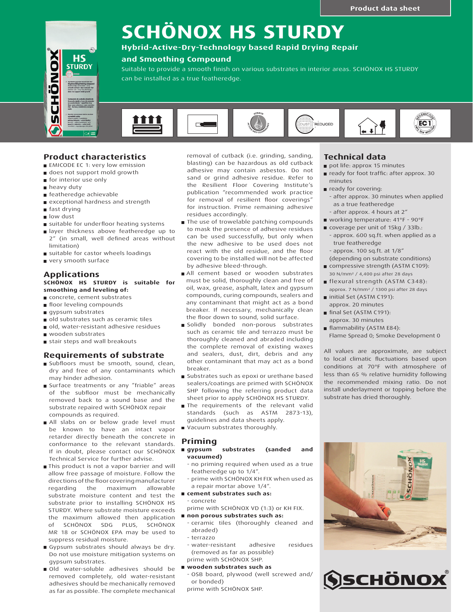

# **SCHÖNOX HS STURDY**

# **Hybrid-Active-Dry-Technology based Rapid Drying Repair**

# **and Smoothing Compound**

Suitable to provide a smooth finish on various substrates in interior areas. SCHÖNOX HS STURDY can be installed as a true featheredge.



# **Product characteristics**

- **EMICODE EC 1: very low emission**
- does not support mold growth
- **for interior use only**
- **heavy duty**
- featheredge achievable
- exceptional hardness and strength
- fast drying
- low dust
- suitable for underfloor heating systems
- **In** layer thickness above featheredge up to 2" (in small, well defined areas without limitation)
- suitable for castor wheels loadings
- very smooth surface

#### **Applications SCHÖNOX HS STURDY is suitable for smoothing and leveling of:**

- concrete, cement substrates
- **floor leveling compounds**
- gypsum substrates
- old substrates such as ceramic tiles
- old, water-resistant adhesive residues
- wooden substrates
- stair steps and wall breakouts

### **Requirements of substrate**

- Subfloors must be smooth, sound, clean, dry and free of any contaminants which may hinder adhesion.
- **Surface treatments or any "friable" areas** of the subfloor must be mechanically removed back to a sound base and the substrate repaired with SCHÖNOX repair compounds as required.
- All slabs on or below grade level must be known to have an intact vapor retarder directly beneath the concrete in conformance to the relevant standards. If in doubt, please contact our SCHÖNOX Technical Service for further advise.
- This product is not a vapor barrier and will allow free passage of moisture. Follow the directions of the floor covering manufacturer regarding the maximum allowable substrate moisture content and test the substrate prior to installing SCHÖNOX HS STURDY. Where substrate moisture exceeds the maximum allowed then application of SCHÖNOX SDG PLUS, SCHÖNOX MR 18 or SCHÖNOX EPA may be used to suppress residual moisture.
- Gypsum substrates should always be dry. Do not use moisture mitigation systems on gypsum substrates.
- Old water-soluble adhesives should be removed completely, old water-resistant adhesives should be mechanically removed as far as possible. The complete mechanical

removal of cutback (i.e. grinding, sanding, blasting) can be hazardous as old cutback adhesive may contain asbestos. Do not sand or grind adhesive residue. Refer to the Resilient Floor Covering Institute's publication "recommended work practice for removal of resilient floor coverings" for instruction. Prime remaining adhesive residues accordingly.

- The use of trowelable patching compounds to mask the presence of adhesive residues can be used successfully, but only when the new adhesive to be used does not react with the old residue, and the floor covering to be installed will not be affected by adhesive bleed-through.
- All cement based or wooden substrates must be solid, thoroughly clean and free of oil, wax, grease, asphalt, latex and gypsum compounds, curing compounds, sealers and any contaminant that might act as a bond breaker. If necessary, mechanically clean the floor down to sound, solid surface.
- Solidly bonded non-porous substrates such as ceramic tile and terrazzo must be thoroughly cleaned and abraded including the complete removal of existing waxes and sealers, dust, dirt, debris and any other contaminant that may act as a bond breaker.
- **Substrates such as epoxi or urethane based** sealers/coatings are primed with SCHÖNOX SHP following the referring product data sheet prior to apply SCHÖNOX HS STURDY.
- The requirements of the relevant valid standards (such as ASTM 2873-13), guidelines and data sheets apply.
- Vacuum substrates thoroughly.

# **Priming**

- **gypsum substrates (sanded and vacuumed)**
	- no priming required when used as a true featheredge up to 1/4".
	- prime with SCHÖNOX KH FIX when used as a repair mortar above 1/4".
- **cement substrates such as:**
- concrete prime with SCHÖNOX VD (1:3) or KH FIX.
- **non porous substrates such as:**
- ceramic tiles (thoroughly cleaned and abraded)
- terrazzo
- water-resistant adhesive residues (removed as far as possible)
- prime with SCHÖNOX SHP. **wooden substrates such as**
	- OSB board, plywood (well screwed and/ or bonded)

prime with SCHÖNOX SHP.

# **Technical data**

- pot life: approx 15 minutes
- ready for foot traffic: after approx. 30 minutes
- **n** ready for covering: - after approx. 30 minutes when applied as a true featheredge
	- after approx. 4 hours at 2"
- working temperature: 41°F 90°F
- coverage per unit of 15kg / 33lb.: - approx. 600 sq.ft. when applied as a true featheredge - approx. 100 sq.ft. at 1/8"
	-
- (depending on substrate conditions) compressive strength (ASTM C109):
- 30 N/mm² / 4,400 psi after 28 days flexural strength (ASTM C348):
- approx. 7 N/mm² / 1300 psi after 28 days
- initial Set (ASTM C191): approx. 20 minutes
- final Set (ASTM C191): approx. 30 minutes
- **flammability (ASTM E84):**
- Flame Spread 0; Smoke Development 0

All values are approximate, are subject to local climatic fluctuations based upon conditions at 70°F with atmosphere of less than 65 % relative humidity following the recommended mixing ratio. Do not install underlayment or topping before the substrate has dried thoroughly.